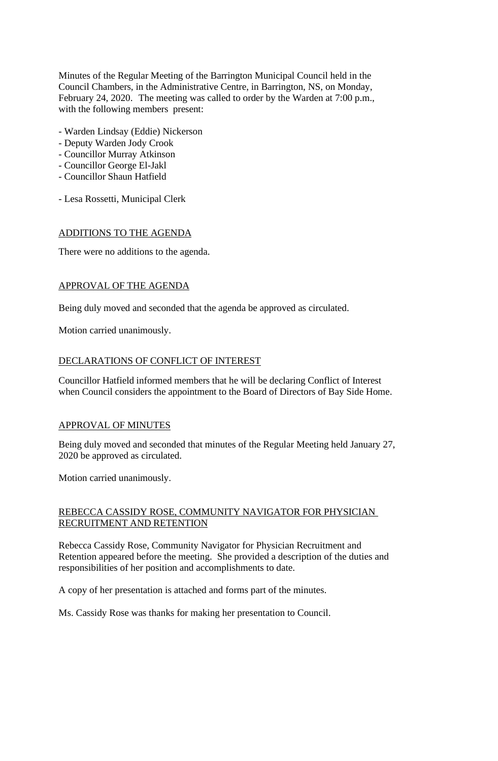Minutes of the Regular Meeting of the Barrington Municipal Council held in the Council Chambers, in the Administrative Centre, in Barrington, NS, on Monday, February 24, 2020. The meeting was called to order by the Warden at 7:00 p.m., with the following members present:

- Warden Lindsay (Eddie) Nickerson
- Deputy Warden Jody Crook
- Councillor Murray Atkinson
- Councillor George El-Jakl
- Councillor Shaun Hatfield
- Lesa Rossetti, Municipal Clerk

# ADDITIONS TO THE AGENDA

There were no additions to the agenda.

# APPROVAL OF THE AGENDA

Being duly moved and seconded that the agenda be approved as circulated.

Motion carried unanimously.

# DECLARATIONS OF CONFLICT OF INTEREST

Councillor Hatfield informed members that he will be declaring Conflict of Interest when Council considers the appointment to the Board of Directors of Bay Side Home.

## APPROVAL OF MINUTES

Being duly moved and seconded that minutes of the Regular Meeting held January 27, 2020 be approved as circulated.

Motion carried unanimously.

# REBECCA CASSIDY ROSE, COMMUNITY NAVIGATOR FOR PHYSICIAN RECRUITMENT AND RETENTION

Rebecca Cassidy Rose, Community Navigator for Physician Recruitment and Retention appeared before the meeting. She provided a description of the duties and responsibilities of her position and accomplishments to date.

A copy of her presentation is attached and forms part of the minutes.

Ms. Cassidy Rose was thanks for making her presentation to Council.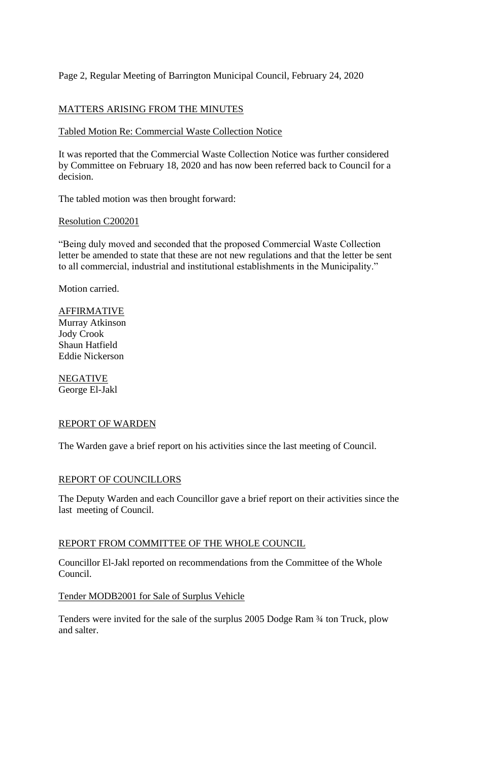# Page 2, Regular Meeting of Barrington Municipal Council, February 24, 2020

# MATTERS ARISING FROM THE MINUTES

## Tabled Motion Re: Commercial Waste Collection Notice

It was reported that the Commercial Waste Collection Notice was further considered by Committee on February 18, 2020 and has now been referred back to Council for a decision.

The tabled motion was then brought forward:

### Resolution C200201

"Being duly moved and seconded that the proposed Commercial Waste Collection letter be amended to state that these are not new regulations and that the letter be sent to all commercial, industrial and institutional establishments in the Municipality."

Motion carried.

AFFIRMATIVE Murray Atkinson Jody Crook Shaun Hatfield Eddie Nickerson

NEGATIVE George El-Jakl

#### REPORT OF WARDEN

The Warden gave a brief report on his activities since the last meeting of Council.

## REPORT OF COUNCILLORS

The Deputy Warden and each Councillor gave a brief report on their activities since the last meeting of Council.

#### REPORT FROM COMMITTEE OF THE WHOLE COUNCIL

Councillor El-Jakl reported on recommendations from the Committee of the Whole Council.

## Tender MODB2001 for Sale of Surplus Vehicle

Tenders were invited for the sale of the surplus 2005 Dodge Ram ¾ ton Truck, plow and salter.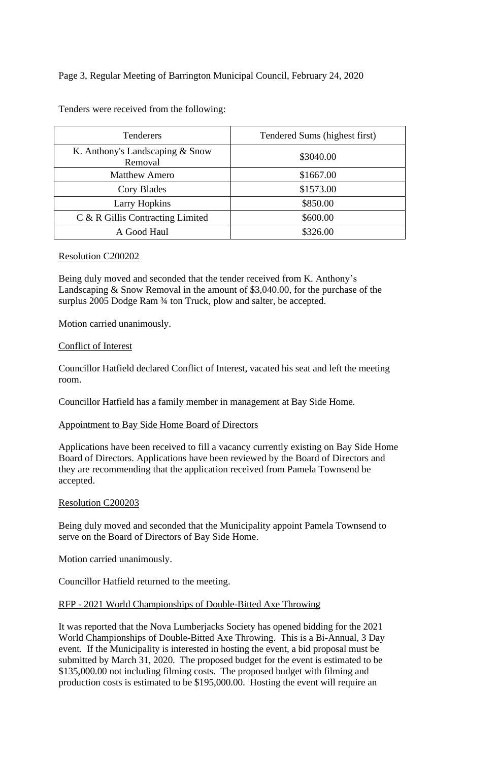Page 3, Regular Meeting of Barrington Municipal Council, February 24, 2020

Tenders were received from the following:

| <b>Tenderers</b>                           | Tendered Sums (highest first) |
|--------------------------------------------|-------------------------------|
| K. Anthony's Landscaping & Snow<br>Removal | \$3040.00                     |
| <b>Matthew Amero</b>                       | \$1667.00                     |
| Cory Blades                                | \$1573.00                     |
| <b>Larry Hopkins</b>                       | \$850.00                      |
| C & R Gillis Contracting Limited           | \$600.00                      |
| A Good Haul                                | \$326.00                      |

### Resolution C200202

Being duly moved and seconded that the tender received from K. Anthony's Landscaping & Snow Removal in the amount of \$3,040.00, for the purchase of the surplus 2005 Dodge Ram  $\frac{3}{4}$  ton Truck, plow and salter, be accepted.

Motion carried unanimously.

### Conflict of Interest

Councillor Hatfield declared Conflict of Interest, vacated his seat and left the meeting room.

Councillor Hatfield has a family member in management at Bay Side Home.

## Appointment to Bay Side Home Board of Directors

Applications have been received to fill a vacancy currently existing on Bay Side Home Board of Directors. Applications have been reviewed by the Board of Directors and they are recommending that the application received from Pamela Townsend be accepted.

### Resolution C200203

Being duly moved and seconded that the Municipality appoint Pamela Townsend to serve on the Board of Directors of Bay Side Home.

Motion carried unanimously.

Councillor Hatfield returned to the meeting.

## RFP - 2021 World Championships of Double-Bitted Axe Throwing

It was reported that the Nova Lumberjacks Society has opened bidding for the 2021 World Championships of Double-Bitted Axe Throwing. This is a Bi-Annual, 3 Day event. If the Municipality is interested in hosting the event, a bid proposal must be submitted by March 31, 2020. The proposed budget for the event is estimated to be \$135,000.00 not including filming costs. The proposed budget with filming and production costs is estimated to be \$195,000.00. Hosting the event will require an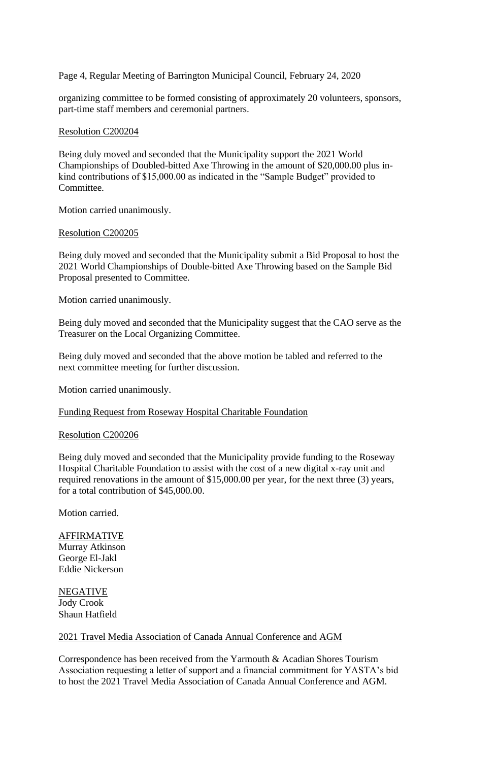Page 4, Regular Meeting of Barrington Municipal Council, February 24, 2020

organizing committee to be formed consisting of approximately 20 volunteers, sponsors, part-time staff members and ceremonial partners.

#### Resolution C200204

Being duly moved and seconded that the Municipality support the 2021 World Championships of Doubled-bitted Axe Throwing in the amount of \$20,000.00 plus inkind contributions of \$15,000.00 as indicated in the "Sample Budget" provided to Committee.

Motion carried unanimously.

### Resolution C200205

Being duly moved and seconded that the Municipality submit a Bid Proposal to host the 2021 World Championships of Double-bitted Axe Throwing based on the Sample Bid Proposal presented to Committee.

Motion carried unanimously.

Being duly moved and seconded that the Municipality suggest that the CAO serve as the Treasurer on the Local Organizing Committee.

Being duly moved and seconded that the above motion be tabled and referred to the next committee meeting for further discussion.

Motion carried unanimously.

#### Funding Request from Roseway Hospital Charitable Foundation

#### Resolution C200206

Being duly moved and seconded that the Municipality provide funding to the Roseway Hospital Charitable Foundation to assist with the cost of a new digital x-ray unit and required renovations in the amount of \$15,000.00 per year, for the next three (3) years, for a total contribution of \$45,000.00.

Motion carried.

### **AFFIRMATIVE** Murray Atkinson George El-Jakl Eddie Nickerson

NEGATIVE Jody Crook Shaun Hatfield

## 2021 Travel Media Association of Canada Annual Conference and AGM

Correspondence has been received from the Yarmouth & Acadian Shores Tourism Association requesting a letter of support and a financial commitment for YASTA's bid to host the 2021 Travel Media Association of Canada Annual Conference and AGM.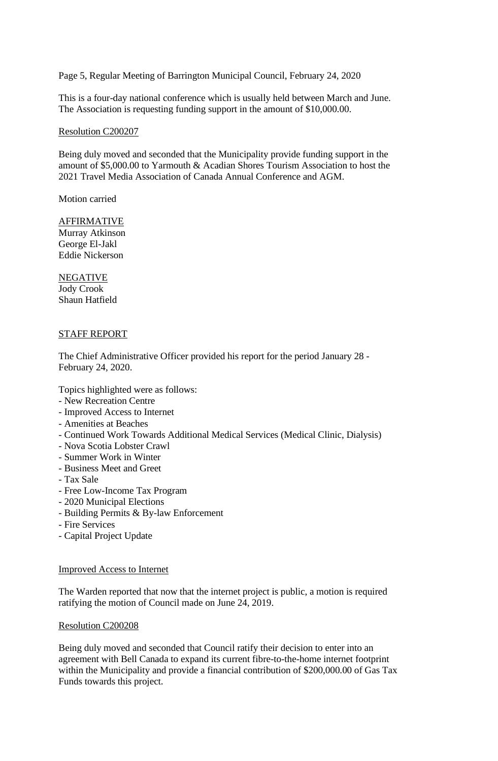Page 5, Regular Meeting of Barrington Municipal Council, February 24, 2020

This is a four-day national conference which is usually held between March and June. The Association is requesting funding support in the amount of \$10,000.00.

#### Resolution C200207

Being duly moved and seconded that the Municipality provide funding support in the amount of \$5,000.00 to Yarmouth & Acadian Shores Tourism Association to host the 2021 Travel Media Association of Canada Annual Conference and AGM.

Motion carried

**AFFIRMATIVE** Murray Atkinson George El-Jakl Eddie Nickerson

NEGATIVE Jody Crook Shaun Hatfield

## STAFF REPORT

The Chief Administrative Officer provided his report for the period January 28 - February 24, 2020.

Topics highlighted were as follows:

- New Recreation Centre
- Improved Access to Internet
- Amenities at Beaches
- Continued Work Towards Additional Medical Services (Medical Clinic, Dialysis)
- Nova Scotia Lobster Crawl
- Summer Work in Winter
- Business Meet and Greet
- Tax Sale
- Free Low-Income Tax Program
- 2020 Municipal Elections
- Building Permits & By-law Enforcement
- Fire Services
- Capital Project Update

## Improved Access to Internet

The Warden reported that now that the internet project is public, a motion is required ratifying the motion of Council made on June 24, 2019.

#### Resolution C200208

Being duly moved and seconded that Council ratify their decision to enter into an agreement with Bell Canada to expand its current fibre-to-the-home internet footprint within the Municipality and provide a financial contribution of \$200,000.00 of Gas Tax Funds towards this project.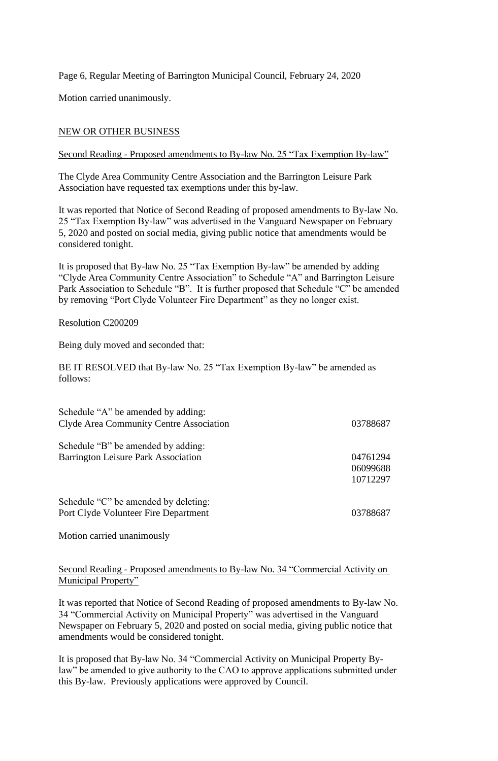Page 6, Regular Meeting of Barrington Municipal Council, February 24, 2020

Motion carried unanimously.

## NEW OR OTHER BUSINESS

### Second Reading - Proposed amendments to By-law No. 25 "Tax Exemption By-law"

The Clyde Area Community Centre Association and the Barrington Leisure Park Association have requested tax exemptions under this by-law.

It was reported that Notice of Second Reading of proposed amendments to By-law No. 25 "Tax Exemption By-law" was advertised in the Vanguard Newspaper on February 5, 2020 and posted on social media, giving public notice that amendments would be considered tonight.

It is proposed that By-law No. 25 "Tax Exemption By-law" be amended by adding "Clyde Area Community Centre Association" to Schedule "A" and Barrington Leisure Park Association to Schedule "B". It is further proposed that Schedule "C" be amended by removing "Port Clyde Volunteer Fire Department" as they no longer exist.

### Resolution C200209

Being duly moved and seconded that:

BE IT RESOLVED that By-law No. 25 "Tax Exemption By-law" be amended as follows:

| Schedule "A" be amended by adding:<br>Clyde Area Community Centre Association | 03788687 |
|-------------------------------------------------------------------------------|----------|
| Schedule "B" be amended by adding:                                            |          |
| <b>Barrington Leisure Park Association</b>                                    | 04761294 |
|                                                                               | 06099688 |
|                                                                               | 10712297 |
| Schedule "C" be amended by deleting:                                          |          |
| Port Clyde Volunteer Fire Department                                          | 03788687 |

Motion carried unanimously

## Second Reading - Proposed amendments to By-law No. 34 "Commercial Activity on Municipal Property"

It was reported that Notice of Second Reading of proposed amendments to By-law No. 34 "Commercial Activity on Municipal Property" was advertised in the Vanguard Newspaper on February 5, 2020 and posted on social media, giving public notice that amendments would be considered tonight.

It is proposed that By-law No. 34 "Commercial Activity on Municipal Property Bylaw" be amended to give authority to the CAO to approve applications submitted under this By-law. Previously applications were approved by Council.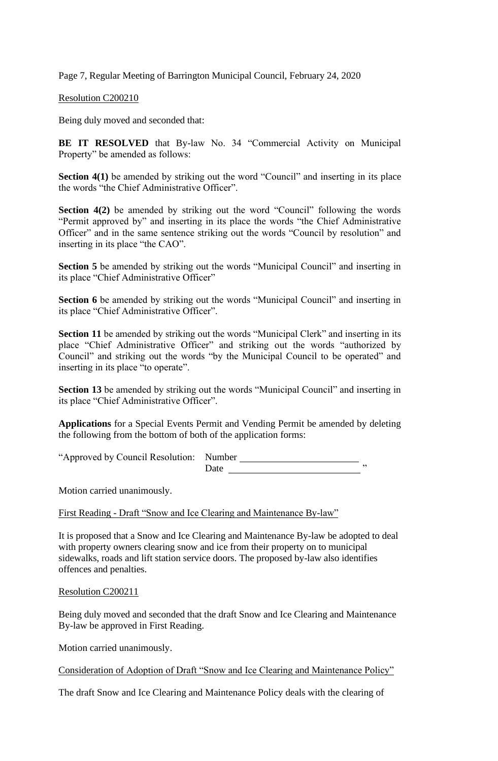Page 7, Regular Meeting of Barrington Municipal Council, February 24, 2020

Resolution C200210

Being duly moved and seconded that:

**BE IT RESOLVED** that By-law No. 34 "Commercial Activity on Municipal Property" be amended as follows:

**Section 4(1)** be amended by striking out the word "Council" and inserting in its place the words "the Chief Administrative Officer".

**Section 4(2)** be amended by striking out the word "Council" following the words "Permit approved by" and inserting in its place the words "the Chief Administrative Officer" and in the same sentence striking out the words "Council by resolution" and inserting in its place "the CAO".

**Section 5** be amended by striking out the words "Municipal Council" and inserting in its place "Chief Administrative Officer"

**Section 6** be amended by striking out the words "Municipal Council" and inserting in its place "Chief Administrative Officer".

Section 11 be amended by striking out the words "Municipal Clerk" and inserting in its place "Chief Administrative Officer" and striking out the words "authorized by Council" and striking out the words "by the Municipal Council to be operated" and inserting in its place "to operate".

**Section 13** be amended by striking out the words "Municipal Council" and inserting in its place "Chief Administrative Officer".

**Applications** for a Special Events Permit and Vending Permit be amended by deleting the following from the bottom of both of the application forms:

"Approved by Council Resolution: Number Date "

Motion carried unanimously.

First Reading - Draft "Snow and Ice Clearing and Maintenance By-law"

It is proposed that a Snow and Ice Clearing and Maintenance By-law be adopted to deal with property owners clearing snow and ice from their property on to municipal sidewalks, roads and lift station service doors. The proposed by-law also identifies offences and penalties.

#### Resolution C200211

Being duly moved and seconded that the draft Snow and Ice Clearing and Maintenance By-law be approved in First Reading.

Motion carried unanimously.

Consideration of Adoption of Draft "Snow and Ice Clearing and Maintenance Policy"

The draft Snow and Ice Clearing and Maintenance Policy deals with the clearing of